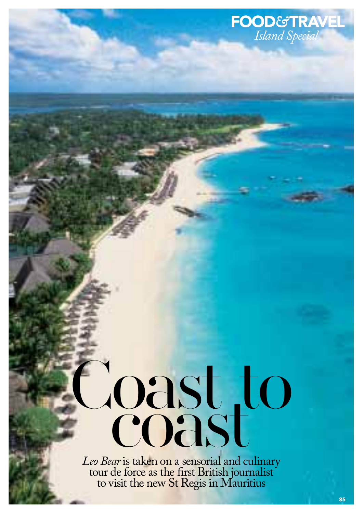## Coast to

*Leo Bear* is taken on a sensorial and culinary tour de force as the first British journalist to visit the new St Regis in Mauritius

*Island Special*

food*&*travel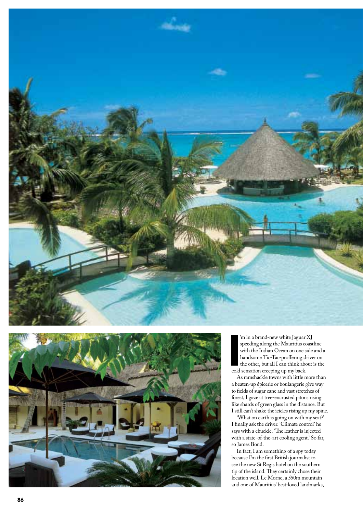



I'm in a brand-new white Jaguar I<br>speeding along the Mauritius co<br>with the Indian Ocean on one si<br>handsome Tic-Tac-proffering dr<br>the other, but all I can think abo<br>cold sensation creeping up my back. 'm in a brand-new white Jaguar XJ speeding along the Mauritius coastline with the Indian Ocean on one side and a handsome Tic-Tac-proffering driver on the other, but all I can think about is the

As ramshackle towns with little more than a beaten-up épicerie or boulangerie give way to fields of sugar cane and vast stretches of forest, I gaze at tree-encrusted pitons rising like shards of green glass in the distance. But I still can't shake the icicles rising up my spine.

'What on earth is going on with my seat?' I finally ask the driver. 'Climate control' he says with a chuckle. 'The leather is injected with a state-of-the-art cooling agent.' So far, so James Bond.

In fact, I am something of a spy today because I'm the first British journalist to see the new St Regis hotel on the southern tip of the island. They certainly chose their location well. Le Morne, a 550m mountain and one of Mauritius' best-loved landmarks,